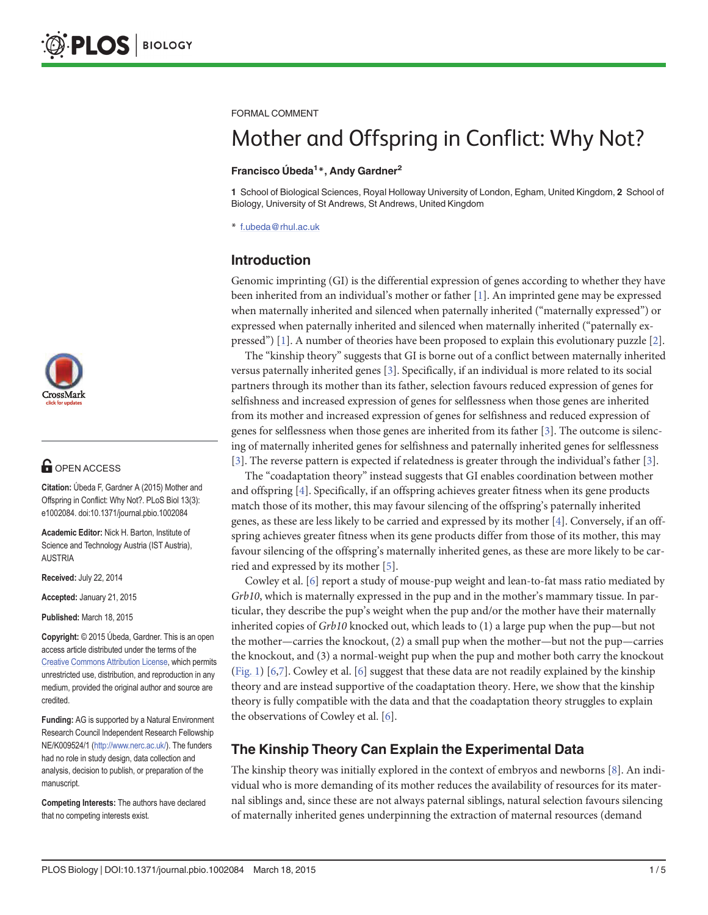

# **OPEN ACCESS**

Citation: Úbeda F, Gardner A (2015) Mother and Offspring in Conflict: Why Not?. PLoS Biol 13(3): e1002084. doi:10.1371/journal.pbio.1002084

Academic Editor: Nick H. Barton, Institute of Science and Technology Austria (IST Austria), AUSTRIA

Received: July 22, 2014

Accepted: January 21, 2015

Published: March 18, 2015

Copyright: © 2015 Úbeda, Gardner. This is an open access article distributed under the terms of the [Creative Commons Attribution License,](http://creativecommons.org/licenses/by/4.0/) which permits unrestricted use, distribution, and reproduction in any medium, provided the original author and source are credited.

Funding: AG is supported by a Natural Environment Research Council Independent Research Fellowship NE/K009524/1 [\(http://www.nerc.ac.uk/\)](http://www.nerc.ac.uk/). The funders had no role in study design, data collection and analysis, decision to publish, or preparation of the manuscript.

Competing Interests: The authors have declared that no competing interests exist.

<span id="page-0-0"></span>FORMAL COMMENT

# Mother and Offspring in Conflict: Why Not?

#### Francisco Úbeda<sup>1</sup>\*, Andy Gardner<sup>2</sup>

1 School of Biological Sciences, Royal Holloway University of London, Egham, United Kingdom, 2 School of Biology, University of St Andrews, St Andrews, United Kingdom

\* f.ubeda@rhul.ac.uk

# Introduction

Genomic imprinting (GI) is the differential expression of genes according to whether they have been inherited from an individual's mother or father  $[1]$ . An imprinted gene may be expressed when maternally inherited and silenced when paternally inherited ("maternally expressed") or expressed when paternally inherited and silenced when maternally inherited ("paternally ex-pressed") [[1\]](#page-3-0). A number of theories have been proposed to explain this evolutionary puzzle [[2\]](#page-3-0).

The "kinship theory" suggests that GI is borne out of a conflict between maternally inherited versus paternally inherited genes [\[3\]](#page-3-0). Specifically, if an individual is more related to its social partners through its mother than its father, selection favours reduced expression of genes for selfishness and increased expression of genes for selflessness when those genes are inherited from its mother and increased expression of genes for selfishness and reduced expression of genes for selflessness when those genes are inherited from its father [[3\]](#page-3-0). The outcome is silencing of maternally inherited genes for selfishness and paternally inherited genes for selflessness [\[3](#page-3-0)]. The reverse pattern is expected if relatedness is greater through the individual's father [\[3](#page-3-0)].

The "coadaptation theory" instead suggests that GI enables coordination between mother and offspring [[4\]](#page-3-0). Specifically, if an offspring achieves greater fitness when its gene products match those of its mother, this may favour silencing of the offspring's paternally inherited genes, as these are less likely to be carried and expressed by its mother [[4](#page-3-0)]. Conversely, if an offspring achieves greater fitness when its gene products differ from those of its mother, this may favour silencing of the offspring's maternally inherited genes, as these are more likely to be carried and expressed by its mother [\[5\]](#page-3-0).

Cowley et al. [[6\]](#page-3-0) report a study of mouse-pup weight and lean-to-fat mass ratio mediated by Grb10, which is maternally expressed in the pup and in the mother's mammary tissue. In particular, they describe the pup's weight when the pup and/or the mother have their maternally inherited copies of Grb10 knocked out, which leads to (1) a large pup when the pup—but not the mother—carries the knockout, (2) a small pup when the mother—but not the pup—carries the knockout, and (3) a normal-weight pup when the pup and mother both carry the knockout [\(Fig. 1](#page-1-0)) [\[6,7\]](#page-3-0). Cowley et al. [[6](#page-3-0)] suggest that these data are not readily explained by the kinship theory and are instead supportive of the coadaptation theory. Here, we show that the kinship theory is fully compatible with the data and that the coadaptation theory struggles to explain the observations of Cowley et al.  $[6]$ .

## The Kinship Theory Can Explain the Experimental Data

The kinship theory was initially explored in the context of embryos and newborns [\[8\]](#page-3-0). An individual who is more demanding of its mother reduces the availability of resources for its maternal siblings and, since these are not always paternal siblings, natural selection favours silencing of maternally inherited genes underpinning the extraction of maternal resources (demand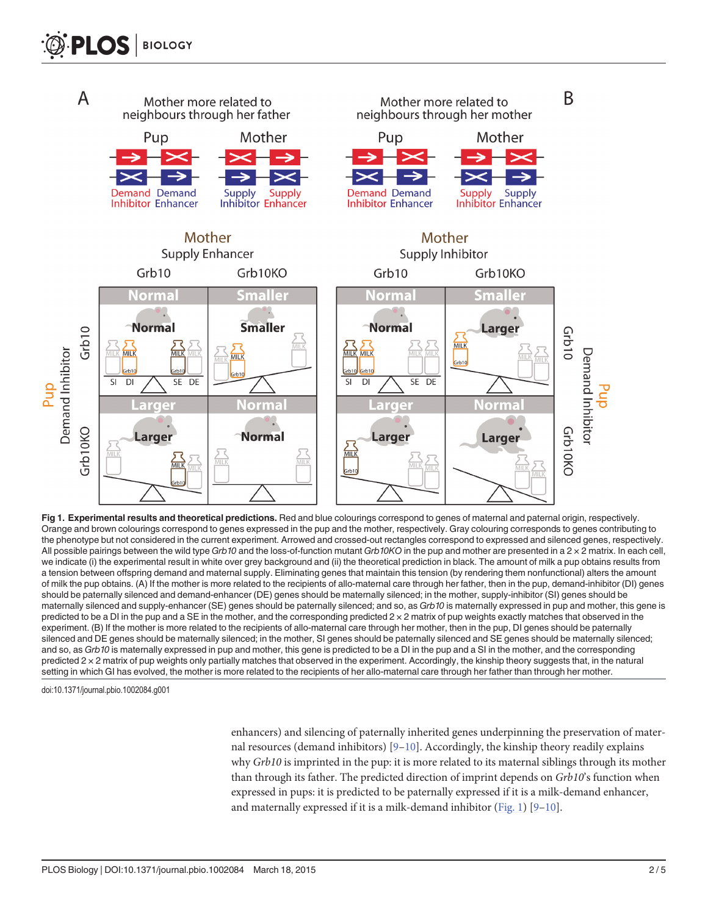<span id="page-1-0"></span>

[Fig 1. E](#page-0-0)xperimental results and theoretical predictions. Red and blue colourings correspond to genes of maternal and paternal origin, respectively. Orange and brown colourings correspond to genes expressed in the pup and the mother, respectively. Gray colouring corresponds to genes contributing to the phenotype but not considered in the current experiment. Arrowed and crossed-out rectangles correspond to expressed and silenced genes, respectively. All possible pairings between the wild type Grb10 and the loss-of-function mutant Grb10KO in the pup and mother are presented in a  $2 \times 2$  matrix. In each cell, we indicate (i) the experimental result in white over grey background and (ii) the theoretical prediction in black. The amount of milk a pup obtains results from a tension between offspring demand and maternal supply. Eliminating genes that maintain this tension (by rendering them nonfunctional) alters the amount of milk the pup obtains. (A) If the mother is more related to the recipients of allo-maternal care through her father, then in the pup, demand-inhibitor (DI) genes should be paternally silenced and demand-enhancer (DE) genes should be maternally silenced; in the mother, supply-inhibitor (SI) genes should be maternally silenced and supply-enhancer (SE) genes should be paternally silenced; and so, as Grb10 is maternally expressed in pup and mother, this gene is predicted to be a DI in the pup and a SE in the mother, and the corresponding predicted 2 × 2 matrix of pup weights exactly matches that observed in the experiment. (B) If the mother is more related to the recipients of allo-maternal care through her mother, then in the pup, DI genes should be paternally silenced and DE genes should be maternally silenced; in the mother, SI genes should be paternally silenced and SE genes should be maternally silenced; and so, as Grb10 is maternally expressed in pup and mother, this gene is predicted to be a DI in the pup and a SI in the mother, and the corresponding predicted 2 × 2 matrix of pup weights only partially matches that observed in the experiment. Accordingly, the kinship theory suggests that, in the natural setting in which GI has evolved, the mother is more related to the recipients of her allo-maternal care through her father than through her mother.

doi:10.1371/journal.pbio.1002084.g001

enhancers) and silencing of paternally inherited genes underpinning the preservation of maternal resources (demand inhibitors)  $[9-10]$  $[9-10]$  $[9-10]$ . Accordingly, the kinship theory readily explains why Grb10 is imprinted in the pup: it is more related to its maternal siblings through its mother than through its father. The predicted direction of imprint depends on Grb10's function when expressed in pups: it is predicted to be paternally expressed if it is a milk-demand enhancer, and maternally expressed if it is a milk-demand inhibitor  $(Fig. 1)$   $[9-10]$  $[9-10]$  $[9-10]$ .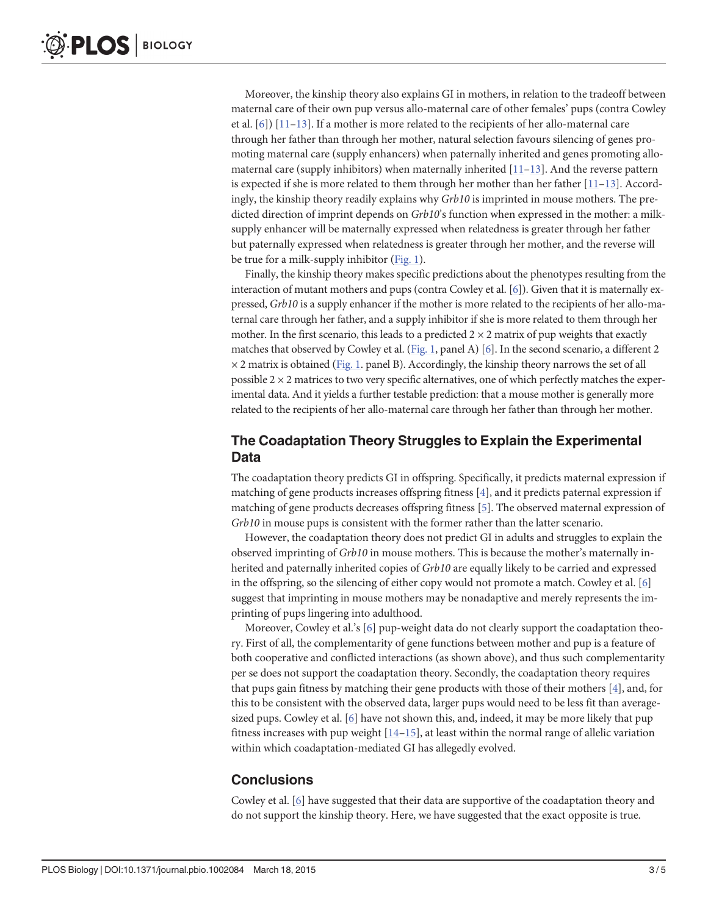<span id="page-2-0"></span>Moreover, the kinship theory also explains GI in mothers, in relation to the tradeoff between maternal care of their own pup versus allo-maternal care of other females' pups (contra Cowley et al. [\[6\]](#page-3-0)) [\[11](#page-3-0)–[13\]](#page-3-0). If a mother is more related to the recipients of her allo-maternal care through her father than through her mother, natural selection favours silencing of genes promoting maternal care (supply enhancers) when paternally inherited and genes promoting allomaternal care (supply inhibitors) when maternally inherited  $[11-13]$  $[11-13]$  $[11-13]$  $[11-13]$ . And the reverse pattern is expected if she is more related to them through her mother than her father  $[11-13]$  $[11-13]$  $[11-13]$ . Accordingly, the kinship theory readily explains why  $Grb10$  is imprinted in mouse mothers. The predicted direction of imprint depends on Grb10's function when expressed in the mother: a milksupply enhancer will be maternally expressed when relatedness is greater through her father but paternally expressed when relatedness is greater through her mother, and the reverse will be true for a milk-supply inhibitor [\(Fig. 1\)](#page-1-0).

Finally, the kinship theory makes specific predictions about the phenotypes resulting from the interaction of mutant mothers and pups (contra Cowley et al. [[6](#page-3-0)]). Given that it is maternally expressed, Grb10 is a supply enhancer if the mother is more related to the recipients of her allo-maternal care through her father, and a supply inhibitor if she is more related to them through her mother. In the first scenario, this leads to a predicted  $2 \times 2$  matrix of pup weights that exactly matches that observed by Cowley et al. [\(Fig. 1](#page-1-0), panel A) [\[6\]](#page-3-0). In the second scenario, a different 2  $\times$  2 matrix is obtained ([Fig. 1.](#page-1-0) panel B). Accordingly, the kinship theory narrows the set of all possible  $2 \times 2$  matrices to two very specific alternatives, one of which perfectly matches the experimental data. And it yields a further testable prediction: that a mouse mother is generally more related to the recipients of her allo-maternal care through her father than through her mother.

### The Coadaptation Theory Struggles to Explain the Experimental Data

The coadaptation theory predicts GI in offspring. Specifically, it predicts maternal expression if matching of gene products increases offspring fitness [\[4\]](#page-3-0), and it predicts paternal expression if matching of gene products decreases offspring fitness [[5](#page-3-0)]. The observed maternal expression of Grb10 in mouse pups is consistent with the former rather than the latter scenario.

However, the coadaptation theory does not predict GI in adults and struggles to explain the observed imprinting of Grb10 in mouse mothers. This is because the mother's maternally inherited and paternally inherited copies of Grb10 are equally likely to be carried and expressed in the offspring, so the silencing of either copy would not promote a match. Cowley et al. [[6](#page-3-0)] suggest that imprinting in mouse mothers may be nonadaptive and merely represents the imprinting of pups lingering into adulthood.

Moreover, Cowley et al.'s  $[6]$  $[6]$  pup-weight data do not clearly support the coadaptation theory. First of all, the complementarity of gene functions between mother and pup is a feature of both cooperative and conflicted interactions (as shown above), and thus such complementarity per se does not support the coadaptation theory. Secondly, the coadaptation theory requires that pups gain fitness by matching their gene products with those of their mothers [[4\]](#page-3-0), and, for this to be consistent with the observed data, larger pups would need to be less fit than average-sized pups. Cowley et al. [[6](#page-3-0)] have not shown this, and, indeed, it may be more likely that pup fitness increases with pup weight  $[14-15]$  $[14-15]$  $[14-15]$  $[14-15]$ , at least within the normal range of allelic variation within which coadaptation-mediated GI has allegedly evolved.

### **Conclusions**

Cowley et al.  $[6]$  $[6]$  have suggested that their data are supportive of the coadaptation theory and do not support the kinship theory. Here, we have suggested that the exact opposite is true.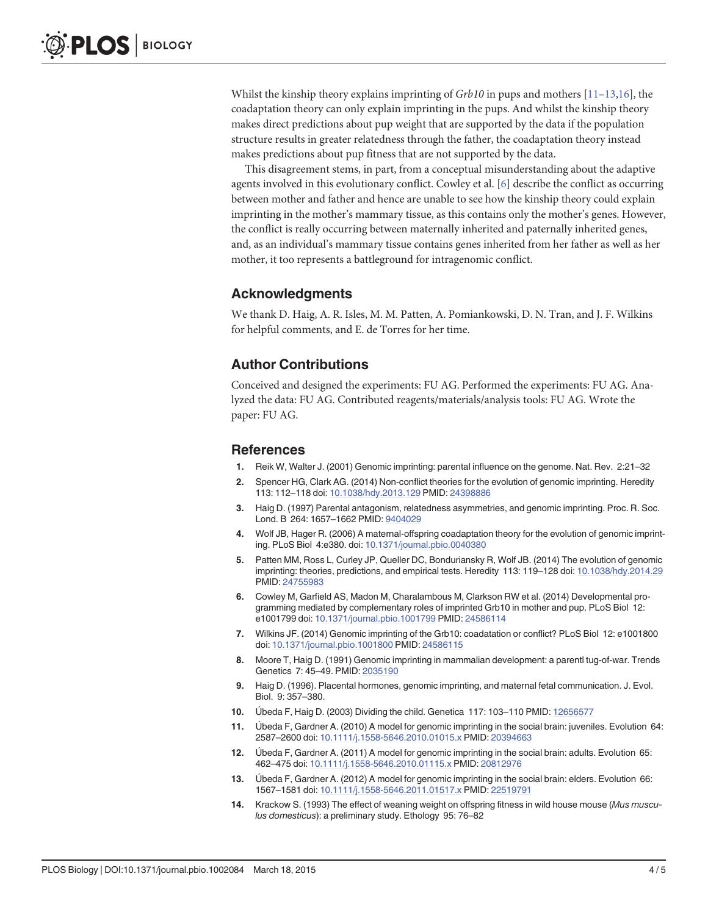<span id="page-3-0"></span>Whilst the kinship theory explains imprinting of  $Grb10$  in pups and mothers  $[11-13,16]$  $[11-13,16]$  $[11-13,16]$ , the coadaptation theory can only explain imprinting in the pups. And whilst the kinship theory makes direct predictions about pup weight that are supported by the data if the population structure results in greater relatedness through the father, the coadaptation theory instead makes predictions about pup fitness that are not supported by the data.

This disagreement stems, in part, from a conceptual misunderstanding about the adaptive agents involved in this evolutionary conflict. Cowley et al. [6] describe the conflict as occurring between mother and father and hence are unable to see how the kinship theory could explain imprinting in the mother's mammary tissue, as this contains only the mother's genes. However, the conflict is really occurring between maternally inherited and paternally inherited genes, and, as an individual's mammary tissue contains genes inherited from her father as well as her mother, it too represents a battleground for intragenomic conflict.

#### Acknowledgments

We thank D. Haig, A. R. Isles, M. M. Patten, A. Pomiankowski, D. N. Tran, and J. F. Wilkins for helpful comments, and E. de Torres for her time.

#### Author Contributions

Conceived and designed the experiments: FU AG. Performed the experiments: FU AG. Analyzed the data: FU AG. Contributed reagents/materials/analysis tools: FU AG. Wrote the paper: FU AG.

#### **References**

- [1.](#page-0-0) Reik W, Walter J. (2001) Genomic imprinting: parental influence on the genome. Nat. Rev. 2:21–32
- [2.](#page-0-0) Spencer HG, Clark AG. (2014) Non-conflict theories for the evolution of genomic imprinting. Heredity 113: 112–118 doi: [10.1038/hdy.2013.129](http://dx.doi.org/10.1038/hdy.2013.129) PMID: [24398886](http://www.ncbi.nlm.nih.gov/pubmed/24398886)
- [3.](#page-0-0) Haig D. (1997) Parental antagonism, relatedness asymmetries, and genomic imprinting. Proc. R. Soc. Lond. B 264: 1657–1662 PMID: [9404029](http://www.ncbi.nlm.nih.gov/pubmed/9404029)
- [4.](#page-0-0) Wolf JB, Hager R. (2006) A maternal-offspring coadaptation theory for the evolution of genomic imprinting. PLoS Biol 4:e380. doi: [10.1371/journal.pbio.0040380](http://dx.doi.org/10.1371/journal.pbio.0040380)
- [5.](#page-0-0) Patten MM, Ross L, Curley JP, Queller DC, Bonduriansky R, Wolf JB. (2014) The evolution of genomic imprinting: theories, predictions, and empirical tests. Heredity 113: 119–128 doi: [10.1038/hdy.2014.29](http://dx.doi.org/10.1038/hdy.2014.29) PMID: [24755983](http://www.ncbi.nlm.nih.gov/pubmed/24755983)
- [6.](#page-0-0) Cowley M, Garfield AS, Madon M, Charalambous M, Clarkson RW et al. (2014) Developmental programming mediated by complementary roles of imprinted Grb10 in mother and pup. PLoS Biol 12: e1001799 doi: [10.1371/journal.pbio.1001799](http://dx.doi.org/10.1371/journal.pbio.1001799) PMID: [24586114](http://www.ncbi.nlm.nih.gov/pubmed/24586114)
- [7.](#page-0-0) Wilkins JF. (2014) Genomic imprinting of the Grb10: coadatation or conflict? PLoS Biol 12: e1001800 doi: [10.1371/journal.pbio.1001800](http://dx.doi.org/10.1371/journal.pbio.1001800) PMID: [24586115](http://www.ncbi.nlm.nih.gov/pubmed/24586115)
- [8.](#page-0-0) Moore T, Haig D. (1991) Genomic imprinting in mammalian development: a parentl tug-of-war. Trends Genetics 7: 45–49. PMID: [2035190](http://www.ncbi.nlm.nih.gov/pubmed/2035190)
- [9.](#page-1-0) Haig D. (1996). Placental hormones, genomic imprinting, and maternal fetal communication. J. Evol. Biol. 9: 357–380.
- [10.](#page-1-0) Úbeda F, Haig D. (2003) Dividing the child. Genetica 117: 103–110 PMID: [12656577](http://www.ncbi.nlm.nih.gov/pubmed/12656577)
- [11.](#page-2-0) Úbeda F, Gardner A. (2010) A model for genomic imprinting in the social brain: juveniles. Evolution 64: 2587–2600 doi: [10.1111/j.1558-5646.2010.01015.x](http://dx.doi.org/10.1111/j.1558-5646.2010.01015.x) PMID: [20394663](http://www.ncbi.nlm.nih.gov/pubmed/20394663)
- 12. Úbeda F, Gardner A. (2011) A model for genomic imprinting in the social brain: adults. Evolution 65: 462–475 doi: [10.1111/j.1558-5646.2010.01115.x](http://dx.doi.org/10.1111/j.1558-5646.2010.01115.x) PMID: [20812976](http://www.ncbi.nlm.nih.gov/pubmed/20812976)
- [13.](#page-2-0) Úbeda F, Gardner A. (2012) A model for genomic imprinting in the social brain: elders. Evolution 66: 1567–1581 doi: [10.1111/j.1558-5646.2011.01517.x](http://dx.doi.org/10.1111/j.1558-5646.2011.01517.x) PMID: [22519791](http://www.ncbi.nlm.nih.gov/pubmed/22519791)
- [14.](#page-2-0) Krackow S. (1993) The effect of weaning weight on offspring fitness in wild house mouse (Mus musculus domesticus): a preliminary study. Ethology 95: 76–82